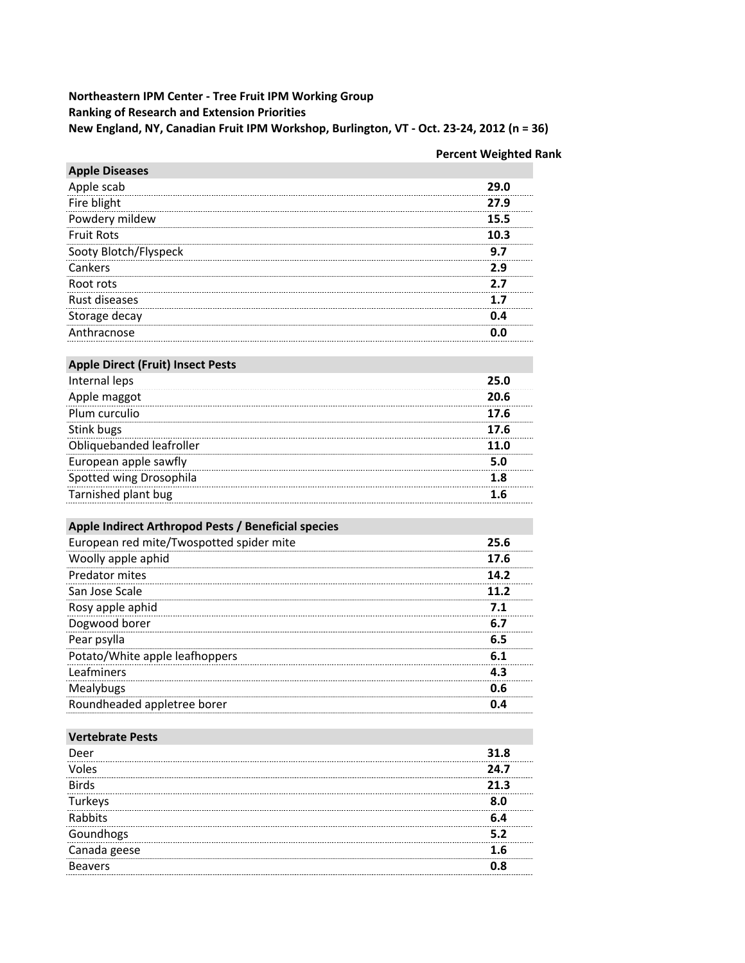### Northeastern IPM Center - Tree Fruit IPM Working Group **Ranking of Research and Extension Priorities** New England, NY, Canadian Fruit IPM Workshop, Burlington, VT - Oct. 23-24, 2012 (n = 36)

## **Percent Weighted Rank**

| <b>Apple Diseases</b>                               |      |
|-----------------------------------------------------|------|
| Apple scab                                          | 29.0 |
| Fire blight                                         | 27.9 |
| Powdery mildew                                      | 15.5 |
| <b>Fruit Rots</b>                                   | 10.3 |
| Sooty Blotch/Flyspeck                               | 9.7  |
| Cankers                                             | 2.9  |
| Root rots                                           | 2.7  |
| Rust diseases                                       | 1.7  |
| Storage decay                                       | 0.4  |
| Anthracnose                                         | 0.0  |
|                                                     |      |
| <b>Apple Direct (Fruit) Insect Pests</b>            |      |
| Internal leps                                       | 25.0 |
| Apple maggot                                        | 20.6 |
| Plum curculio                                       | 17.6 |
| Stink bugs                                          | 17.6 |
| Obliquebanded leafroller                            | 11.0 |
| European apple sawfly                               | 5.0  |
| Spotted wing Drosophila                             | 1.8  |
| Tarnished plant bug                                 | 1.6  |
|                                                     |      |
| Apple Indirect Arthropod Pests / Beneficial species |      |
| European red mite/Twospotted spider mite            | 25.6 |
| Woolly apple aphid                                  | 17.6 |
| Predator mites                                      | 14.2 |
| San Jose Scale                                      | 11.2 |
| Rosy apple aphid                                    | 7.1  |
| Dogwood borer                                       | 6.7  |
| Pear psylla                                         | 6.5  |
| Potato/White apple leafhoppers                      | 6.1  |
| Leafminers                                          | 4.3  |
| Mealybugs                                           | 0.6  |
| Roundheaded appletree borer                         | 0.4  |
|                                                     |      |
| <b>Vertebrate Pests</b>                             |      |
| Deer                                                | 31.8 |
| Voles                                               | 24.7 |
| <b>Birds</b>                                        | 21.3 |
| Turkeys                                             | 8.0  |
| Rabbits                                             | 6.4  |
| Goundhogs                                           | 5.2  |
| Canada geese                                        | 1.6  |
| <b>Beavers</b>                                      | 0.8  |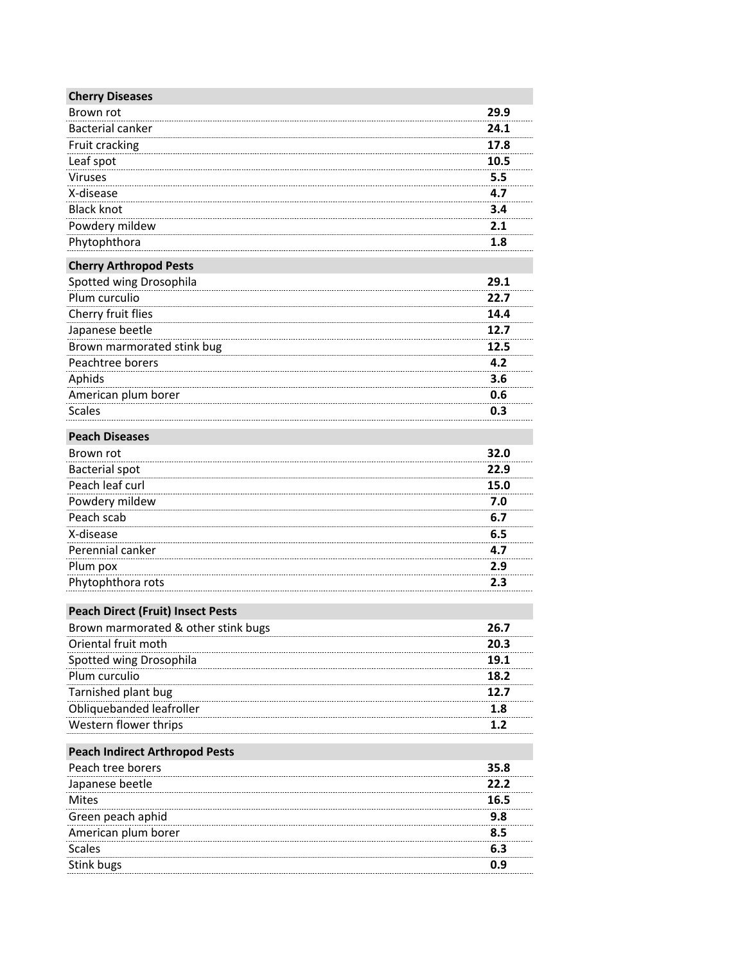| <b>Cherry Diseases</b>                   |      |
|------------------------------------------|------|
| Brown rot                                | 29.9 |
| <b>Bacterial canker</b>                  | 24.1 |
| Fruit cracking                           | 17.8 |
| Leaf spot                                | 10.5 |
| Viruses                                  | 5.5  |
| X-disease                                | 4.7  |
| <b>Black knot</b>                        | 3.4  |
| Powdery mildew                           | 2.1  |
| Phytophthora                             | 1.8  |
| <b>Cherry Arthropod Pests</b>            |      |
| Spotted wing Drosophila                  | 29.1 |
| Plum curculio                            | 22.7 |
| Cherry fruit flies                       | 14.4 |
| Japanese beetle                          | 12.7 |
| Brown marmorated stink bug               | 12.5 |
| Peachtree borers                         | 4.2  |
| Aphids                                   | 3.6  |
| American plum borer                      | 0.6  |
| <b>Scales</b>                            | 0.3  |
| <b>Peach Diseases</b>                    |      |
| Brown rot                                | 32.0 |
| <b>Bacterial spot</b>                    | 22.9 |
| Peach leaf curl                          | 15.0 |
| Powdery mildew                           | 7.0  |
| Peach scab                               | 6.7  |
| X-disease                                | 6.5  |
| Perennial canker                         | 4.7  |
| Plum pox                                 | 2.9  |
| Phytophthora rots                        | 2.3  |
| <b>Peach Direct (Fruit) Insect Pests</b> |      |
| Brown marmorated & other stink bugs      | 26.7 |
| Oriental fruit moth                      | 20.3 |
| Spotted wing Drosophila                  | 19.1 |
| Plum curculio                            | 18.2 |
| Tarnished plant bug                      | 12.7 |
| Obliquebanded leafroller                 | 1.8  |
| Western flower thrips                    | 1.2  |
| <b>Peach Indirect Arthropod Pests</b>    |      |
| Peach tree borers                        | 35.8 |
| Japanese beetle                          | 22.2 |
| <b>Mites</b>                             | 16.5 |
| Green peach aphid                        | 9.8  |
| American plum borer                      | 8.5  |
| <b>Scales</b>                            | 6.3  |
| Stink bugs                               | 0.9  |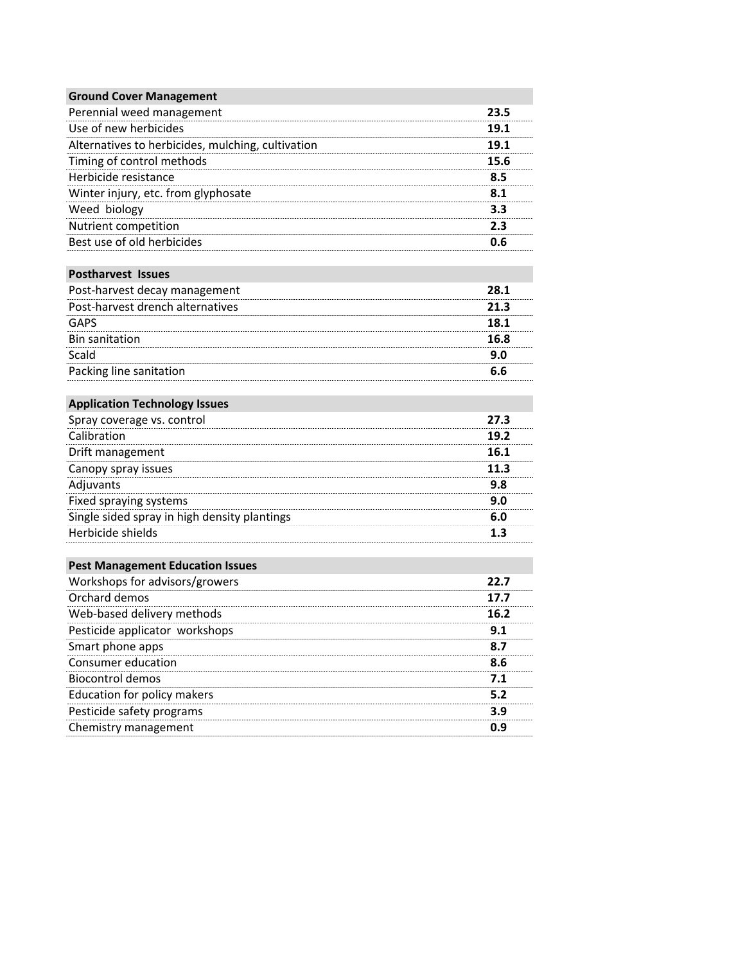| <b>Ground Cover Management</b>                    |      |
|---------------------------------------------------|------|
| Perennial weed management                         | 23.5 |
| Use of new herbicides                             | 19.1 |
| Alternatives to herbicides, mulching, cultivation | 19.1 |
| Timing of control methods                         | 15.6 |
| Herbicide resistance                              | 8.5  |
| Winter injury, etc. from glyphosate               | 8.1  |
| Weed biology                                      | 3.3  |
| Nutrient competition                              | 2.3  |
| Best use of old herbicides                        | 0.6  |

### Postharvest Issues

| Post-harvest decay management    | 28.1 |
|----------------------------------|------|
| Post-harvest drench alternatives | 21.3 |
| GAPS                             | 18.1 |
| <b>Bin sanitation</b>            | 16.8 |
| Scald                            | a n  |
| Packing line sanitation          |      |

# **Application Technology Issues**

| Spray coverage vs. control                   | 27.3 |
|----------------------------------------------|------|
| Calibration                                  | 19.2 |
| Drift management                             | 16.1 |
| Canopy spray issues                          | 11.3 |
| Adjuvants                                    | 9.8  |
| Fixed spraying systems                       | 9.0  |
| Single sided spray in high density plantings |      |
| Herbicide shields                            |      |

## **Pest Management Education Issues**

| Workshops for advisors/growers | 22.7 |
|--------------------------------|------|
| Orchard demos                  | 17.7 |
| Web-based delivery methods     | 16.2 |
| Pesticide applicator workshops | 9.1  |
| Smart phone apps               | 8.7  |
| Consumer education             | 8.6  |
| Biocontrol demos               | 7.1  |
| Education for policy makers    | 5.2  |
| Pesticide safety programs      | 3.9  |
| Chemistry management           | n 9  |